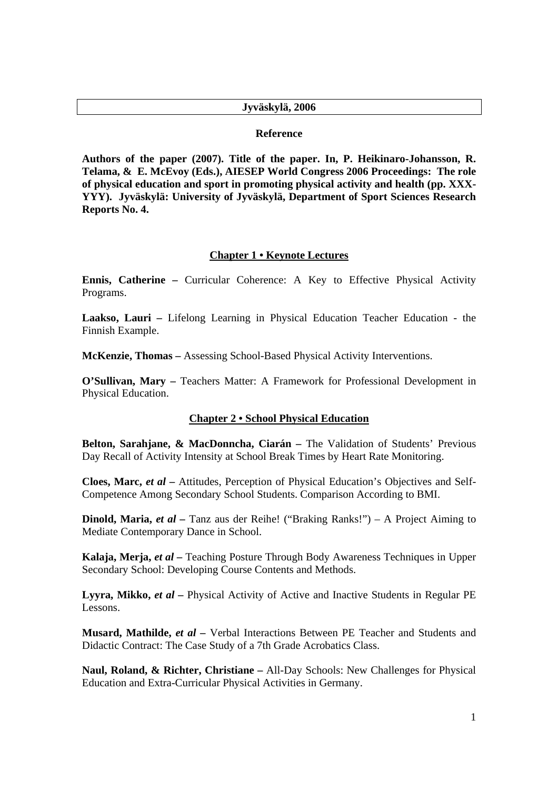### **Jyväskylä, 2006**

#### **Reference**

**Authors of the paper (2007). Title of the paper. In, P. Heikinaro-Johansson, R. Telama, & E. McEvoy (Eds.), AIESEP World Congress 2006 Proceedings: The role of physical education and sport in promoting physical activity and health (pp. XXX-YYY). Jyväskylä: University of Jyväskylä, Department of Sport Sciences Research Reports No. 4.** 

## **Chapter 1 • Keynote Lectures**

**Ennis, Catherine –** Curricular Coherence: A Key to Effective Physical Activity Programs.

**Laakso, Lauri –** Lifelong Learning in Physical Education Teacher Education - the Finnish Example.

**McKenzie, Thomas –** Assessing School-Based Physical Activity Interventions.

**O'Sullivan, Mary –** Teachers Matter: A Framework for Professional Development in Physical Education.

#### **Chapter 2 • School Physical Education**

**Belton, Sarahjane, & MacDonncha, Ciarán –** The Validation of Students' Previous Day Recall of Activity Intensity at School Break Times by Heart Rate Monitoring.

**Cloes, Marc,** *et al –* Attitudes, Perception of Physical Education's Objectives and Self-Competence Among Secondary School Students. Comparison According to BMI.

**Dinold, Maria,** *et al –* Tanz aus der Reihe! ("Braking Ranks!") – A Project Aiming to Mediate Contemporary Dance in School.

**Kalaja, Merja,** *et al –* Teaching Posture Through Body Awareness Techniques in Upper Secondary School: Developing Course Contents and Methods.

**Lyyra, Mikko,** *et al –* Physical Activity of Active and Inactive Students in Regular PE Lessons.

**Musard, Mathilde,** *et al –* Verbal Interactions Between PE Teacher and Students and Didactic Contract: The Case Study of a 7th Grade Acrobatics Class.

**Naul, Roland, & Richter, Christiane –** All-Day Schools: New Challenges for Physical Education and Extra-Curricular Physical Activities in Germany.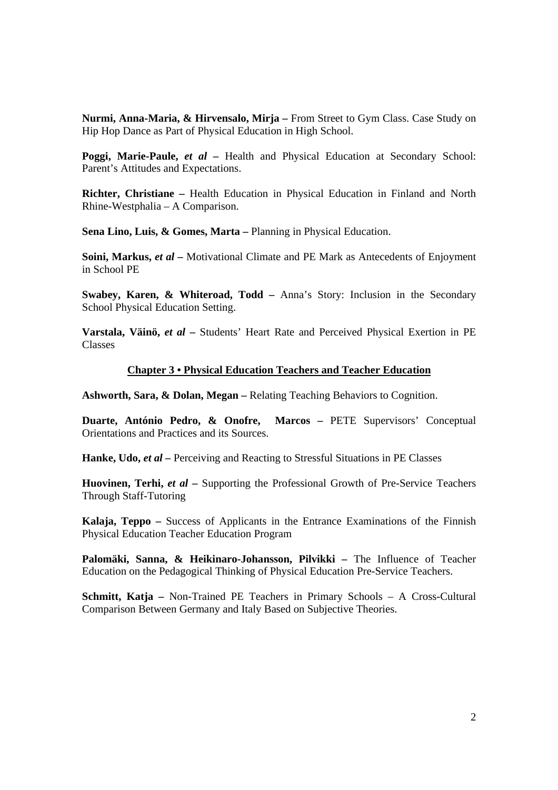**Nurmi, Anna-Maria, & Hirvensalo, Mirja –** From Street to Gym Class. Case Study on Hip Hop Dance as Part of Physical Education in High School.

**Poggi, Marie-Paule,** *et al –* Health and Physical Education at Secondary School: Parent's Attitudes and Expectations.

**Richter, Christiane –** Health Education in Physical Education in Finland and North Rhine-Westphalia – A Comparison.

**Sena Lino, Luis, & Gomes, Marta –** Planning in Physical Education.

**Soini, Markus,** *et al* – Motivational Climate and PE Mark as Antecedents of Enjoyment in School PE

**Swabey, Karen, & Whiteroad, Todd –** Anna's Story: Inclusion in the Secondary School Physical Education Setting.

**Varstala, Väinö,** *et al –* Students' Heart Rate and Perceived Physical Exertion in PE Classes

#### **Chapter 3 • Physical Education Teachers and Teacher Education**

**Ashworth, Sara, & Dolan, Megan –** Relating Teaching Behaviors to Cognition.

**Duarte, António Pedro, & Onofre, Marcos –** PETE Supervisors' Conceptual Orientations and Practices and its Sources.

**Hanke, Udo,** *et al –* Perceiving and Reacting to Stressful Situations in PE Classes

**Huovinen, Terhi,** *et al* – Supporting the Professional Growth of Pre-Service Teachers Through Staff-Tutoring

**Kalaja, Teppo –** Success of Applicants in the Entrance Examinations of the Finnish Physical Education Teacher Education Program

Palomäki, Sanna, & Heikinaro-Johansson, Pilvikki - The Influence of Teacher Education on the Pedagogical Thinking of Physical Education Pre-Service Teachers.

**Schmitt, Katja –** Non-Trained PE Teachers in Primary Schools – A Cross-Cultural Comparison Between Germany and Italy Based on Subjective Theories.